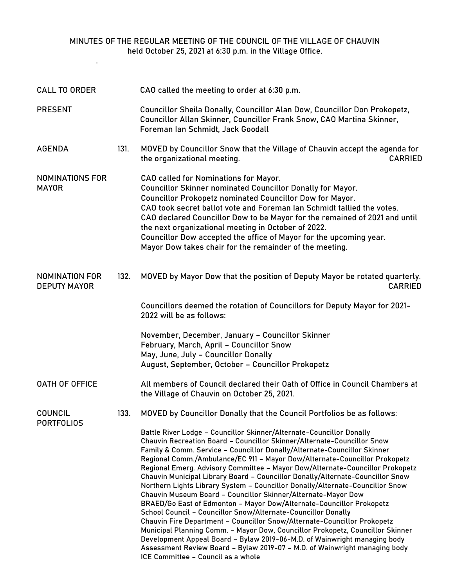## MINUTES OF THE REGULAR MEETING OF THE COUNCIL OF THE VILLAGE OF CHAUVIN held October 25, 2021 at 6:30 p.m. in the Village Office.

.

| <b>CALL TO ORDER</b>                         |      | CAO called the meeting to order at 6:30 p.m.                                                                                                                                                                                                                                                                                                                                                                                                                                                                                                                                                                                                                                                                                                                                                                                                                                                                                                                                                                                                                                                                                                                                                                     |
|----------------------------------------------|------|------------------------------------------------------------------------------------------------------------------------------------------------------------------------------------------------------------------------------------------------------------------------------------------------------------------------------------------------------------------------------------------------------------------------------------------------------------------------------------------------------------------------------------------------------------------------------------------------------------------------------------------------------------------------------------------------------------------------------------------------------------------------------------------------------------------------------------------------------------------------------------------------------------------------------------------------------------------------------------------------------------------------------------------------------------------------------------------------------------------------------------------------------------------------------------------------------------------|
| <b>PRESENT</b>                               |      | Councillor Sheila Donally, Councillor Alan Dow, Councillor Don Prokopetz,<br>Councillor Allan Skinner, Councillor Frank Snow, CAO Martina Skinner,<br>Foreman Ian Schmidt, Jack Goodall                                                                                                                                                                                                                                                                                                                                                                                                                                                                                                                                                                                                                                                                                                                                                                                                                                                                                                                                                                                                                          |
| <b>AGENDA</b>                                | 131. | MOVED by Councillor Snow that the Village of Chauvin accept the agenda for<br>the organizational meeting.<br><b>CARRIED</b>                                                                                                                                                                                                                                                                                                                                                                                                                                                                                                                                                                                                                                                                                                                                                                                                                                                                                                                                                                                                                                                                                      |
| NOMINATIONS FOR<br><b>MAYOR</b>              |      | CAO called for Nominations for Mayor.<br><b>Councillor Skinner nominated Councillor Donally for Mayor.</b><br><b>Councillor Prokopetz nominated Councillor Dow for Mayor.</b><br>CAO took secret ballot vote and Foreman Ian Schmidt tallied the votes.<br>CAO declared Councillor Dow to be Mayor for the remained of 2021 and until<br>the next organizational meeting in October of 2022.<br>Councillor Dow accepted the office of Mayor for the upcoming year.<br>Mayor Dow takes chair for the remainder of the meeting.                                                                                                                                                                                                                                                                                                                                                                                                                                                                                                                                                                                                                                                                                    |
| <b>NOMINATION FOR</b><br><b>DEPUTY MAYOR</b> | 132. | MOVED by Mayor Dow that the position of Deputy Mayor be rotated quarterly.<br><b>CARRIED</b>                                                                                                                                                                                                                                                                                                                                                                                                                                                                                                                                                                                                                                                                                                                                                                                                                                                                                                                                                                                                                                                                                                                     |
|                                              |      | Councillors deemed the rotation of Councillors for Deputy Mayor for 2021-<br>2022 will be as follows:                                                                                                                                                                                                                                                                                                                                                                                                                                                                                                                                                                                                                                                                                                                                                                                                                                                                                                                                                                                                                                                                                                            |
|                                              |      | November, December, January - Councillor Skinner<br>February, March, April - Councillor Snow<br>May, June, July - Councillor Donally<br>August, September, October - Councillor Prokopetz                                                                                                                                                                                                                                                                                                                                                                                                                                                                                                                                                                                                                                                                                                                                                                                                                                                                                                                                                                                                                        |
| <b>OATH OF OFFICE</b>                        |      | All members of Council declared their Oath of Office in Council Chambers at<br>the Village of Chauvin on October 25, 2021.                                                                                                                                                                                                                                                                                                                                                                                                                                                                                                                                                                                                                                                                                                                                                                                                                                                                                                                                                                                                                                                                                       |
| COUNCIL<br><b>PORTFOLIOS</b>                 | 133. | MOVED by Councillor Donally that the Council Portfolios be as follows:<br>Battle River Lodge - Councillor Skinner/Alternate-Councillor Donally<br>Chauvin Recreation Board - Councillor Skinner/Alternate-Councillor Snow<br>Family & Comm. Service - Councillor Donally/Alternate-Councillor Skinner<br>Regional Comm./Ambulance/EC 911 - Mayor Dow/Alternate-Councillor Prokopetz<br>Regional Emerg. Advisory Committee - Mayor Dow/Alternate-Councillor Prokopetz<br>Chauvin Municipal Library Board - Councillor Donally/Alternate-Councillor Snow<br>Northern Lights Library System - Councillor Donally/Alternate-Councillor Snow<br>Chauvin Museum Board - Councillor Skinner/Alternate-Mayor Dow<br>BRAED/Go East of Edmonton - Mayor Dow/Alternate-Councillor Prokopetz<br>School Council - Councillor Snow/Alternate-Councillor Donally<br>Chauvin Fire Department - Councillor Snow/Alternate-Councillor Prokopetz<br>Municipal Planning Comm. - Mayor Dow, Councillor Prokopetz, Councillor Skinner<br>Development Appeal Board - Bylaw 2019-06-M.D. of Wainwright managing body<br>Assessment Review Board - Bylaw 2019-07 - M.D. of Wainwright managing body<br>ICE Committee - Council as a whole |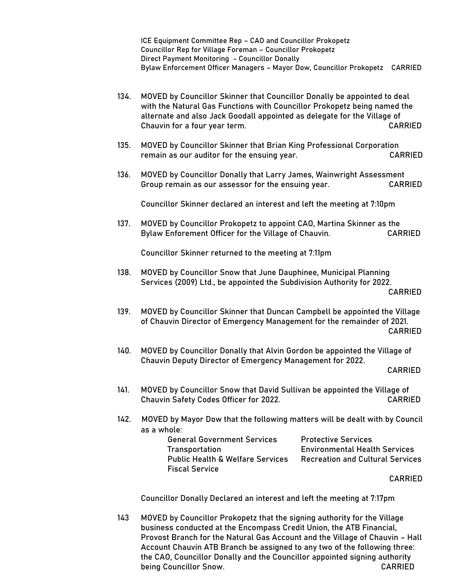ICE Equipment Committee Rep – CAO and Councillor Prokopetz Councillor Rep for Village Foreman – Councillor Prokopetz Direct Payment Monitoring - Councillor Donally Bylaw Enforcement Officer Managers – Mayor Dow, Councillor Prokopetz CARRIED

- 134. MOVED by Councillor Skinner that Councillor Donally be appointed to deal with the Natural Gas Functions with Councillor Prokopetz being named the alternate and also Jack Goodall appointed as delegate for the Village of Chauvin for a four year term. CARRIED
- 135. MOVED by Councillor Skinner that Brian King Professional Corporation remain as our auditor for the ensuing year. CARRIED
- 136. MOVED by Councillor Donally that Larry James, Wainwright Assessment Group remain as our assessor for the ensuing year. CARRIED

Councillor Skinner declared an interest and left the meeting at 7:10pm

137. MOVED by Councillor Prokopetz to appoint CAO, Martina Skinner as the Bylaw Enforement Officer for the Village of Chauvin. CARRIED

Councillor Skinner returned to the meeting at 7:11pm

- 138. MOVED by Councillor Snow that June Dauphinee, Municipal Planning Services (2009) Ltd., be appointed the Subdivision Authority for 2022. CARRIED
- 139. MOVED by Councillor Skinner that Duncan Campbell be appointed the Village of Chauvin Director of Emergency Management for the remainder of 2021. CARRIED
- 140. MOVED by Councillor Donally that Alvin Gordon be appointed the Village of Chauvin Deputy Director of Emergency Management for 2022.

- 141. MOVED by Councillor Snow that David Sullivan be appointed the Village of Chauvin Safety Codes Officer for 2022. CARRIED
- 142. MOVED by Mayor Dow that the following matters will be dealt with by Council as a whole:

| <b>General Government Services</b>          | <b>Protective Services</b> |
|---------------------------------------------|----------------------------|
| <b>Transportation</b>                       | <b>Environmental Healt</b> |
| <b>Public Health &amp; Welfare Services</b> | <b>Recreation and Cult</b> |
| <b>Fiscal Service</b>                       |                            |

**Environmental Health Services** Public Health & Welfare Services Recreation and Cultural Services

CARRIED

Councillor Donally Declared an interest and left the meeting at 7:17pm

143 MOVED by Councillor Prokopetz that the signing authority for the Village business conducted at the Encompass Credit Union, the ATB Financial, Provost Branch for the Natural Gas Account and the Village of Chauvin – Hall Account Chauvin ATB Branch be assigned to any two of the following three: the CAO, Councillor Donally and the Councillor appointed signing authority being Councillor Snow. The council of the state of the council of the council of the council of the council of the council of the council of the council of the council of the council of the council of the council of the co

CARRIED